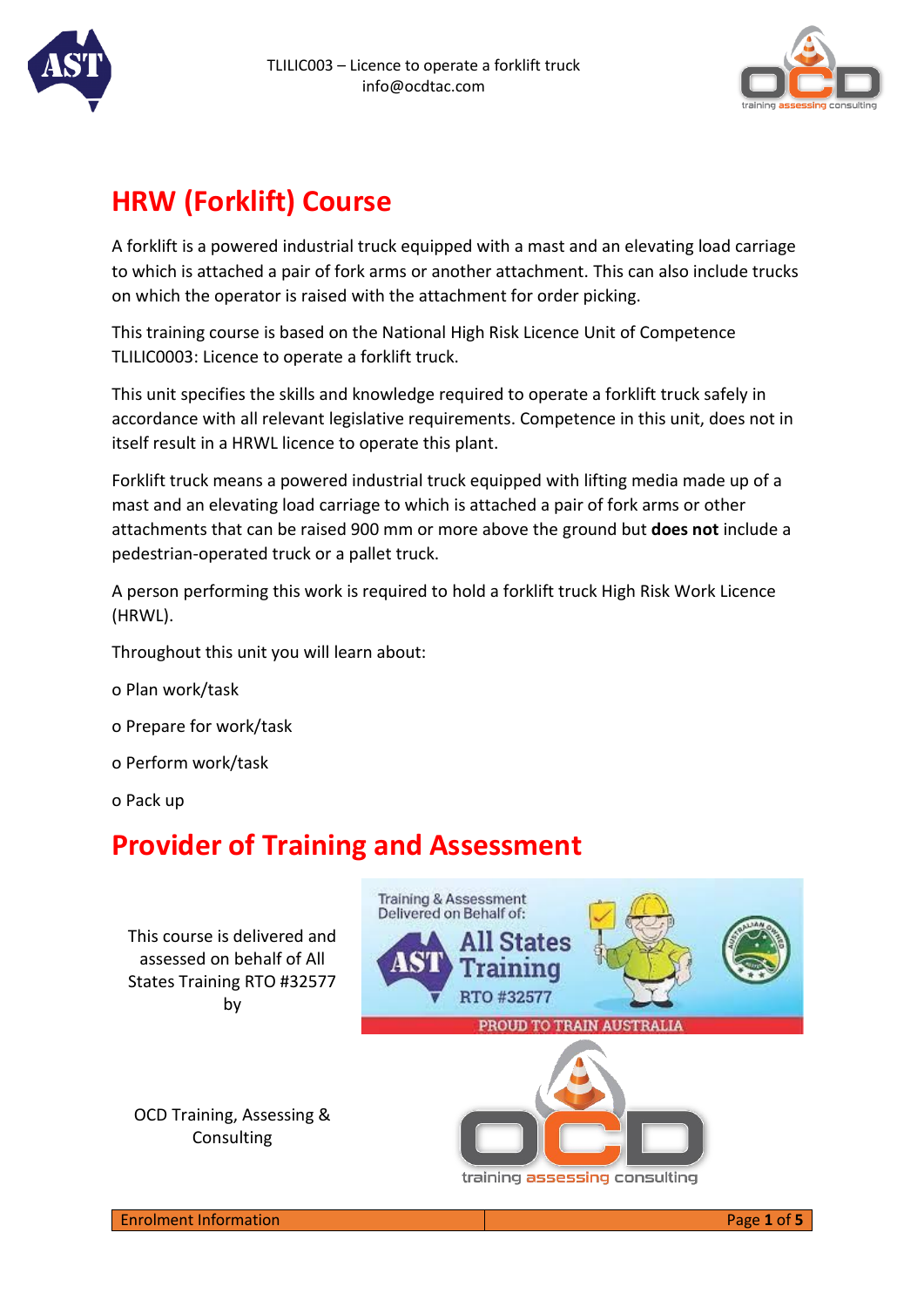



# **HRW (Forklift) Course**

A forklift is a powered industrial truck equipped with a mast and an elevating load carriage to which is attached a pair of fork arms or another attachment. This can also include trucks on which the operator is raised with the attachment for order picking.

This training course is based on the National High Risk Licence Unit of Competence TLILIC0003: Licence to operate a forklift truck.

This unit specifies the skills and knowledge required to operate a forklift truck safely in accordance with all relevant legislative requirements. Competence in this unit, does not in itself result in a HRWL licence to operate this plant.

Forklift truck means a powered industrial truck equipped with lifting media made up of a mast and an elevating load carriage to which is attached a pair of fork arms or other attachments that can be raised 900 mm or more above the ground but **does not** include a pedestrian-operated truck or a pallet truck.

A person performing this work is required to hold a forklift truck High Risk Work Licence (HRWL).

Throughout this unit you will learn about:

- o Plan work/task
- o Prepare for work/task
- o Perform work/task
- o Pack up

# **Provider of Training and Assessment**

This course is delivered and assessed on behalf of All States Training RTO #32577 by



training assessing consulting

OCD Training, Assessing & Consulting



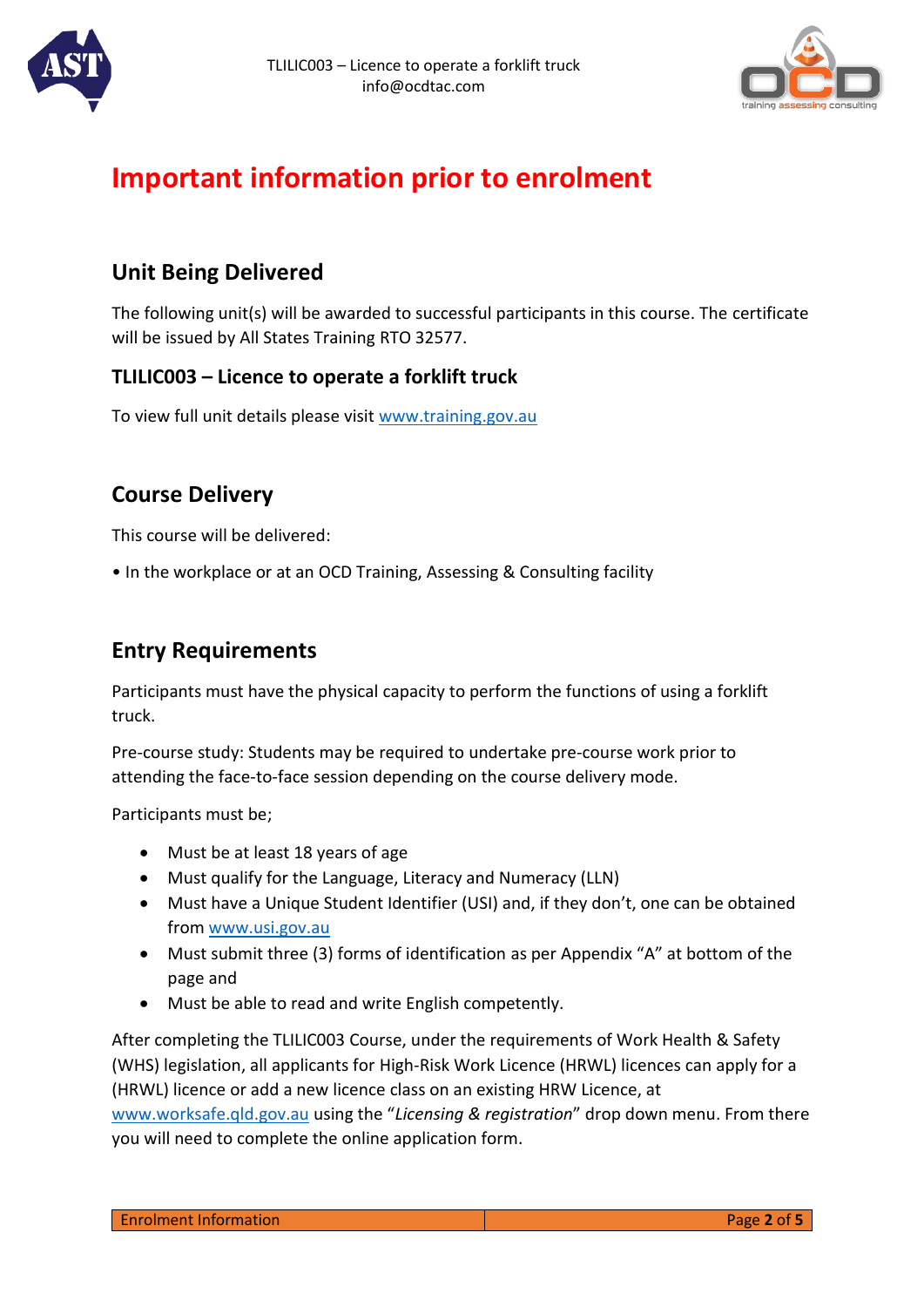



# **Important information prior to enrolment**

### **Unit Being Delivered**

The following unit(s) will be awarded to successful participants in this course. The certificate will be issued by All States Training RTO 32577.

#### **TLILIC003 – Licence to operate a forklift truck**

To view full unit details please visit [www.training.gov.au](http://www.training.gov.au/)

## **Course Delivery**

This course will be delivered:

• In the workplace or at an OCD Training, Assessing & Consulting facility

### **Entry Requirements**

Participants must have the physical capacity to perform the functions of using a forklift truck.

Pre-course study: Students may be required to undertake pre-course work prior to attending the face-to-face session depending on the course delivery mode.

Participants must be;

- Must be at least 18 years of age
- Must qualify for the Language, Literacy and Numeracy (LLN)
- Must have a Unique Student Identifier (USI) and, if they don't, one can be obtained from [www.usi.gov.au](https://www.usi.gov.au/students/get-a-usi)
- Must submit three (3) forms of identification as per Appendix "A" at bottom of the page and
- Must be able to read and write English competently.

After completing the TLILIC003 Course, under the requirements of Work Health & Safety (WHS) legislation, all applicants for High-Risk Work Licence (HRWL) licences can apply for a (HRWL) licence or add a new licence class on an existing HRW Licence, at

[www.worksafe.qld.gov.au](https://www.worksafe.qld.gov.au/licensing-and-registrations) using the "*Licensing & registration*" drop down menu. From there you will need to complete the online application form.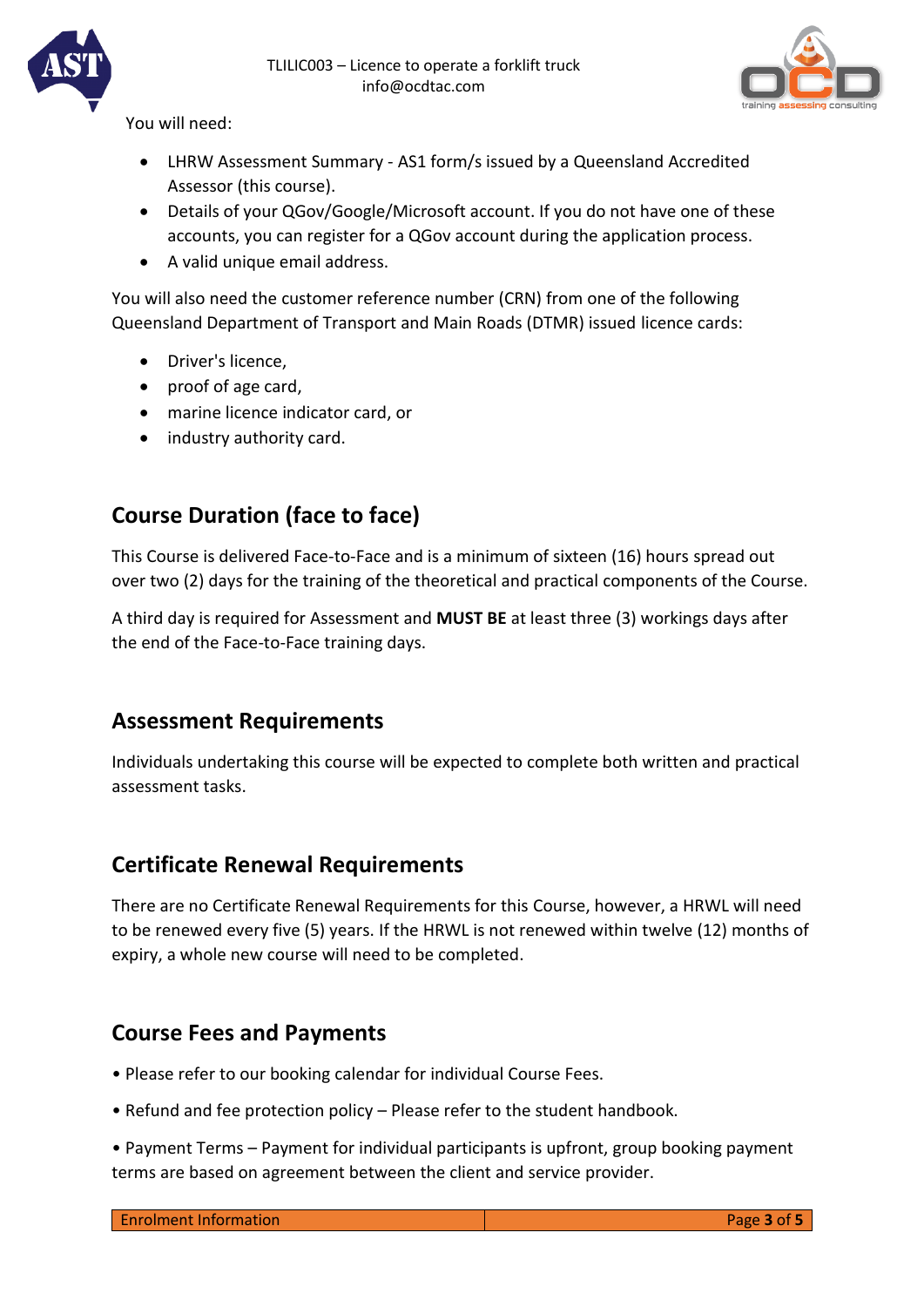



You will need:

- LHRW Assessment Summary AS1 form/s issued by a Queensland Accredited Assessor (this course).
- Details of your QGov/Google/Microsoft account. If you do not have one of these accounts, you can register for a QGov account during the application process.
- A valid unique email address.

You will also need the customer reference number (CRN) from one of the following Queensland Department of Transport and Main Roads (DTMR) issued licence cards:

- Driver's licence,
- proof of age card,
- marine licence indicator card, or
- industry authority card.

## **Course Duration (face to face)**

This Course is delivered Face-to-Face and is a minimum of sixteen (16) hours spread out over two (2) days for the training of the theoretical and practical components of the Course.

A third day is required for Assessment and **MUST BE** at least three (3) workings days after the end of the Face-to-Face training days.

#### **Assessment Requirements**

Individuals undertaking this course will be expected to complete both written and practical assessment tasks.

#### **Certificate Renewal Requirements**

There are no Certificate Renewal Requirements for this Course, however, a HRWL will need to be renewed every five (5) years. If the HRWL is not renewed within twelve (12) months of expiry, a whole new course will need to be completed.

#### **Course Fees and Payments**

- Please refer to our booking calendar for individual Course Fees.
- Refund and fee protection policy Please refer to the student handbook.
- Payment Terms Payment for individual participants is upfront, group booking payment terms are based on agreement between the client and service provider.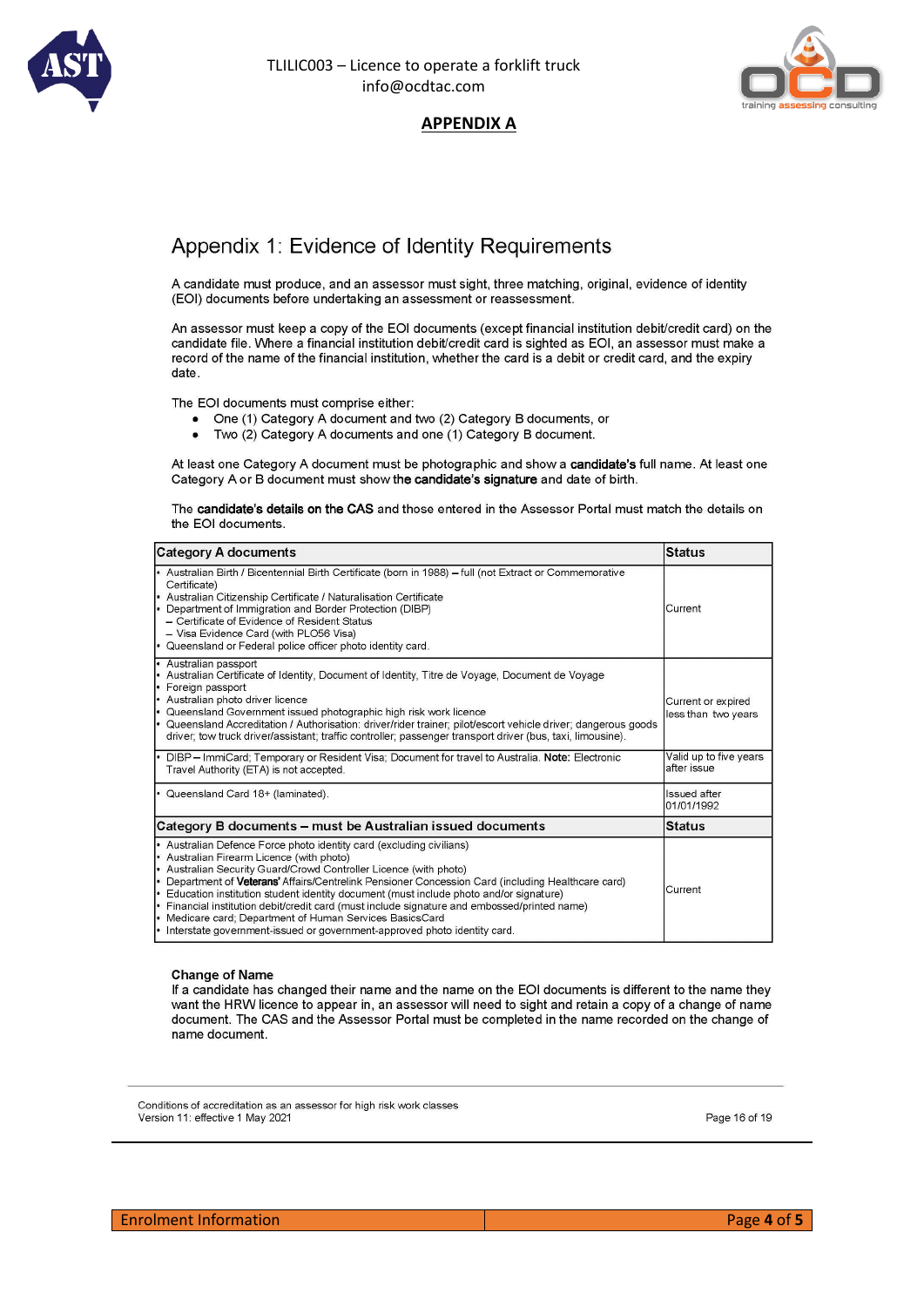

#### TLILIC003 – Licence to operate a forklift truck info@ocdtac.com



#### **APPENDIX A**

#### Appendix 1: Evidence of Identity Requirements

A candidate must produce, and an assessor must sight, three matching, original, evidence of identity (EOI) documents before undertaking an assessment or reassessment.

An assessor must keep a copy of the EOI documents (except financial institution debit/credit card) on the candidate file. Where a financial institution debit/credit card is sighted as EOI, an assessor must make a record of the name of the financial institution, whether the card is a debit or credit card, and the expiry date

The EOI documents must comprise either:

- One (1) Category A document and two (2) Category B documents, or
- Two (2) Category A documents and one (1) Category B document.  $\blacksquare$

At least one Category A document must be photographic and show a candidate's full name. At least one Category A or B document must show the candidate's signature and date of birth.

The candidate's details on the CAS and those entered in the Assessor Portal must match the details on the EOI documents.

| Category A documents                                                                                                                                                                                                                                                                                                                                                                                                                                                                                                                                                                                                          | <b>Status</b>                             |
|-------------------------------------------------------------------------------------------------------------------------------------------------------------------------------------------------------------------------------------------------------------------------------------------------------------------------------------------------------------------------------------------------------------------------------------------------------------------------------------------------------------------------------------------------------------------------------------------------------------------------------|-------------------------------------------|
| - Australian Birth / Bicentennial Birth Certificate (born in 1988) - full (not Extract or Commemorative<br>Certificate)<br>• Australian Citizenship Certificate / Naturalisation Certificate<br>• Department of Immigration and Border Protection (DIBP)<br>- Certificate of Evidence of Resident Status<br>- Visa Evidence Card (with PLO56 Visa)<br>• Queensland or Federal police officer photo identity card.                                                                                                                                                                                                             | Current                                   |
| • Australian passport<br>• Australian Certificate of Identity, Document of Identity, Titre de Voyage, Document de Voyage<br>• Foreign passport<br>• Australian photo driver licence<br>• Queensland Government issued photographic high risk work licence<br>. Queensland Accreditation / Authorisation: driver/rider trainer; pilot/escort vehicle driver; dangerous goods<br>driver; tow truck driver/assistant; traffic controller; passenger transport driver (bus, taxi, limousine).                                                                                                                                     | Current or expired<br>less than two years |
| • DIBP - ImmiCard; Temporary or Resident Visa; Document for travel to Australia. Note: Electronic<br>Travel Authority (ETA) is not accepted.                                                                                                                                                                                                                                                                                                                                                                                                                                                                                  | Valid up to five years<br>after issue     |
| • Queensland Card 18+ (laminated).                                                                                                                                                                                                                                                                                                                                                                                                                                                                                                                                                                                            | Issued after<br>01/01/1992                |
| Category B documents – must be Australian issued documents                                                                                                                                                                                                                                                                                                                                                                                                                                                                                                                                                                    | <b>Status</b>                             |
| • Australian Defence Force photo identity card (excluding civilians)<br>• Australian Firearm Licence (with photo)<br>• Australian Security Guard/Crowd Controller Licence (with photo)<br>• Department of Veterans' Affairs/Centrelink Pensioner Concession Card (including Healthcare card)<br>Education institution student identity document (must include photo and/or signature)<br>Financial institution debit/credit card (must include signature and embossed/printed name)<br>• Medicare card; Department of Human Services BasicsCard<br>• Interstate government-issued or government-approved photo identity card. | Current                                   |

#### **Change of Name**

If a candidate has changed their name and the name on the EOI documents is different to the name they want the HRW licence to appear in, an assessor will need to sight and retain a copy of a change of name document. The CAS and the Assessor Portal must be completed in the name recorded on the change of name document.

Conditions of accreditation as an assessor for high risk work classes Version 11: effective 1 May 2021

Page 16 of 19